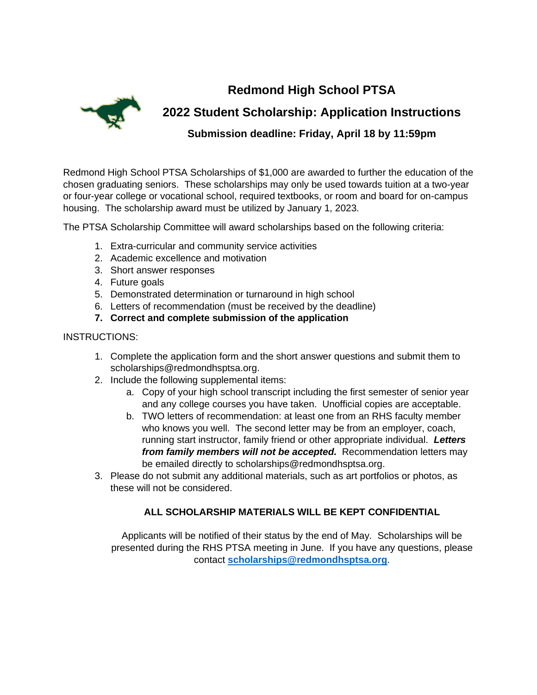**Redmond High School PTSA**



**2022 Student Scholarship: Application Instructions**

**Submission deadline: Friday, April 18 by 11:59pm**

Redmond High School PTSA Scholarships of \$1,000 are awarded to further the education of the chosen graduating seniors. These scholarships may only be used towards tuition at a two-year or four-year college or vocational school, required textbooks, or room and board for on-campus housing. The scholarship award must be utilized by January 1, 2023.

The PTSA Scholarship Committee will award scholarships based on the following criteria:

- 1. Extra-curricular and community service activities
- 2. Academic excellence and motivation
- 3. Short answer responses
- 4. Future goals
- 5. Demonstrated determination or turnaround in high school
- 6. Letters of recommendation (must be received by the deadline)
- **7. Correct and complete submission of the application**

## INSTRUCTIONS:

- 1. Complete the application form and the short answer questions and submit them to scholarships@redmondhsptsa.org.
- 2. Include the following supplemental items:
	- a. Copy of your high school transcript including the first semester of senior year and any college courses you have taken. Unofficial copies are acceptable.
	- b. TWO letters of recommendation: at least one from an RHS faculty member who knows you well. The second letter may be from an employer, coach, running start instructor, family friend or other appropriate individual. *Letters from family members will not be accepted.* Recommendation letters may be emailed directly to scholarships@redmondhsptsa.org.
- 3. Please do not submit any additional materials, such as art portfolios or photos, as these will not be considered.

## **ALL SCHOLARSHIP MATERIALS WILL BE KEPT CONFIDENTIAL**

Applicants will be notified of their status by the end of May. Scholarships will be presented during the RHS PTSA meeting in June. If you have any questions, please contact **[scholarships@redmondhsptsa.org](mailto:scholarships@redmondhsptsa.org)**.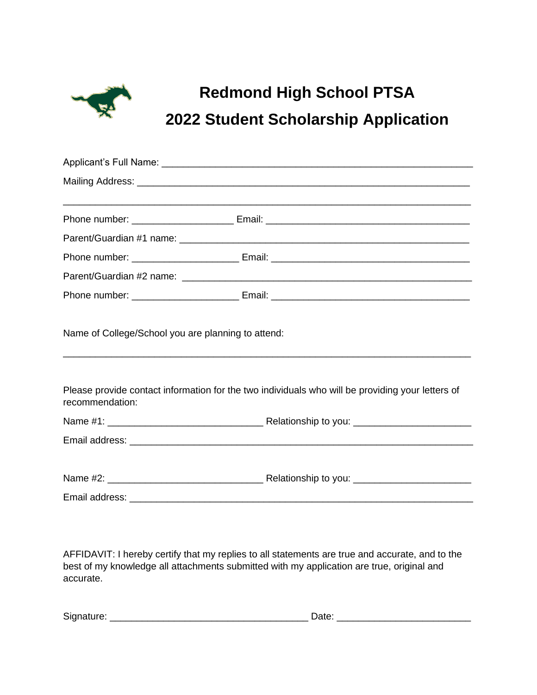

## **Redmond High School PTSA 2022 Student Scholarship Application**

| Name of College/School you are planning to attend: |                                                                                                  |  |
|----------------------------------------------------|--------------------------------------------------------------------------------------------------|--|
|                                                    |                                                                                                  |  |
|                                                    |                                                                                                  |  |
| recommendation:                                    | Please provide contact information for the two individuals who will be providing your letters of |  |
|                                                    |                                                                                                  |  |
|                                                    |                                                                                                  |  |
|                                                    |                                                                                                  |  |
|                                                    |                                                                                                  |  |
|                                                    |                                                                                                  |  |
|                                                    |                                                                                                  |  |

AFFIDAVIT: I hereby certify that my replies to all statements are true and accurate, and to the best of my knowledge all attachments submitted with my application are true, original and accurate.

| $\sim$<br><b>SIC</b><br>- |  |
|---------------------------|--|
|---------------------------|--|